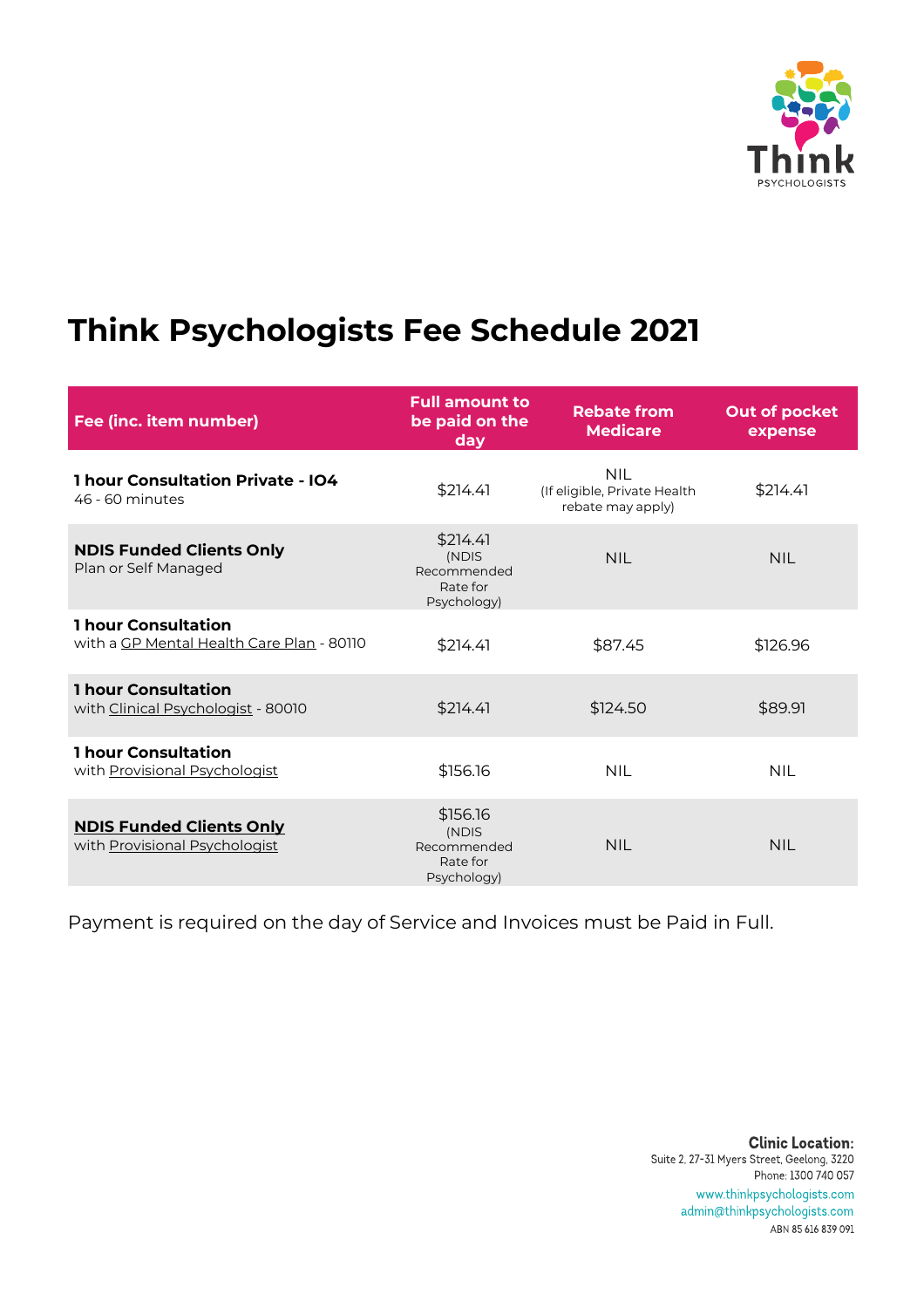

## **Think Psychologists Fee Schedule 2021**

| Fee (inc. item number)                                                  | <b>Full amount to</b><br>be paid on the<br>day              | <b>Rebate from</b><br><b>Medicare</b>                           | Out of pocket<br>expense |
|-------------------------------------------------------------------------|-------------------------------------------------------------|-----------------------------------------------------------------|--------------------------|
| <b>1 hour Consultation Private - IO4</b><br>46 - 60 minutes             | \$214.41                                                    | <b>NIL</b><br>(If eligible, Private Health<br>rebate may apply) | \$214.41                 |
| <b>NDIS Funded Clients Only</b><br>Plan or Self Managed                 | \$214.41<br>(NDIS<br>Recommended<br>Rate for<br>Psychology) | <b>NII</b>                                                      | <b>NIL</b>               |
| <b>1 hour Consultation</b><br>with a GP Mental Health Care Plan - 80110 | \$214.41                                                    | \$87.45                                                         | \$126.96                 |
| <b>1 hour Consultation</b><br>with Clinical Psychologist - 80010        | \$214.41                                                    | \$124.50                                                        | \$89.91                  |
| <b>1 hour Consultation</b><br>with Provisional Psychologist             | \$156.16                                                    | <b>NIL</b>                                                      | <b>NIL</b>               |
| <b>NDIS Funded Clients Only</b><br>with Provisional Psychologist        | \$156.16<br>(NDIS<br>Recommended<br>Rate for<br>Psychology) | NII.                                                            | <b>NIL</b>               |

Payment is required on the day of Service and Invoices must be Paid in Full.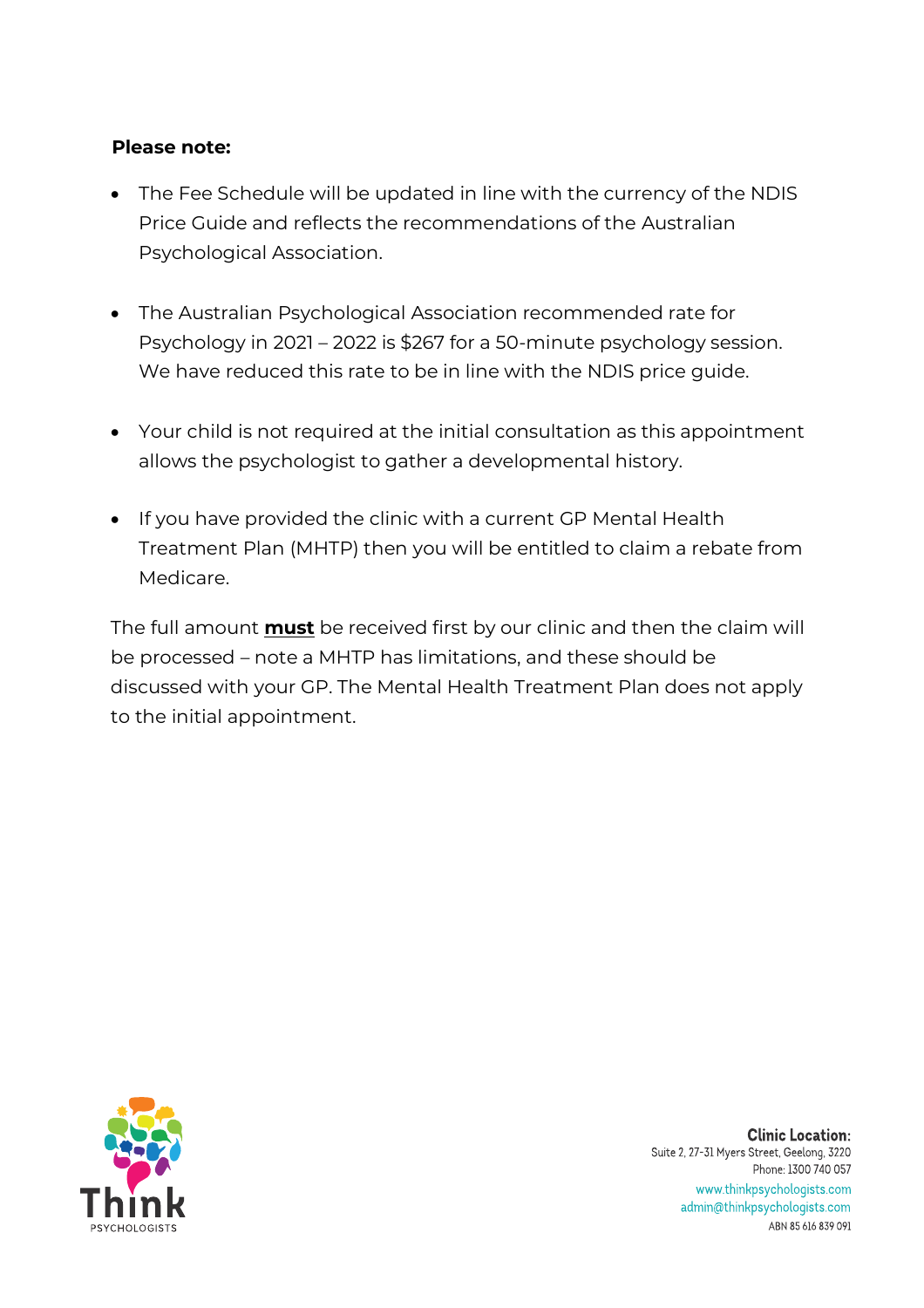#### **Please note:**

- The Fee Schedule will be updated in line with the currency of the NDIS Price Guide and reflects the recommendations of the Australian Psychological Association.
- The Australian Psychological Association recommended rate for Psychology in 2021 – 2022 is \$267 for a 50-minute psychology session. We have reduced this rate to be in line with the NDIS price guide.
- Your child is not required at the initial consultation as this appointment allows the psychologist to gather a developmental history.
- If you have provided the clinic with a current GP Mental Health Treatment Plan (MHTP) then you will be entitled to claim a rebate from Medicare.

The full amount **must** be received first by our clinic and then the claim will be processed – note a MHTP has limitations, and these should be discussed with your GP. The Mental Health Treatment Plan does not apply to the initial appointment.

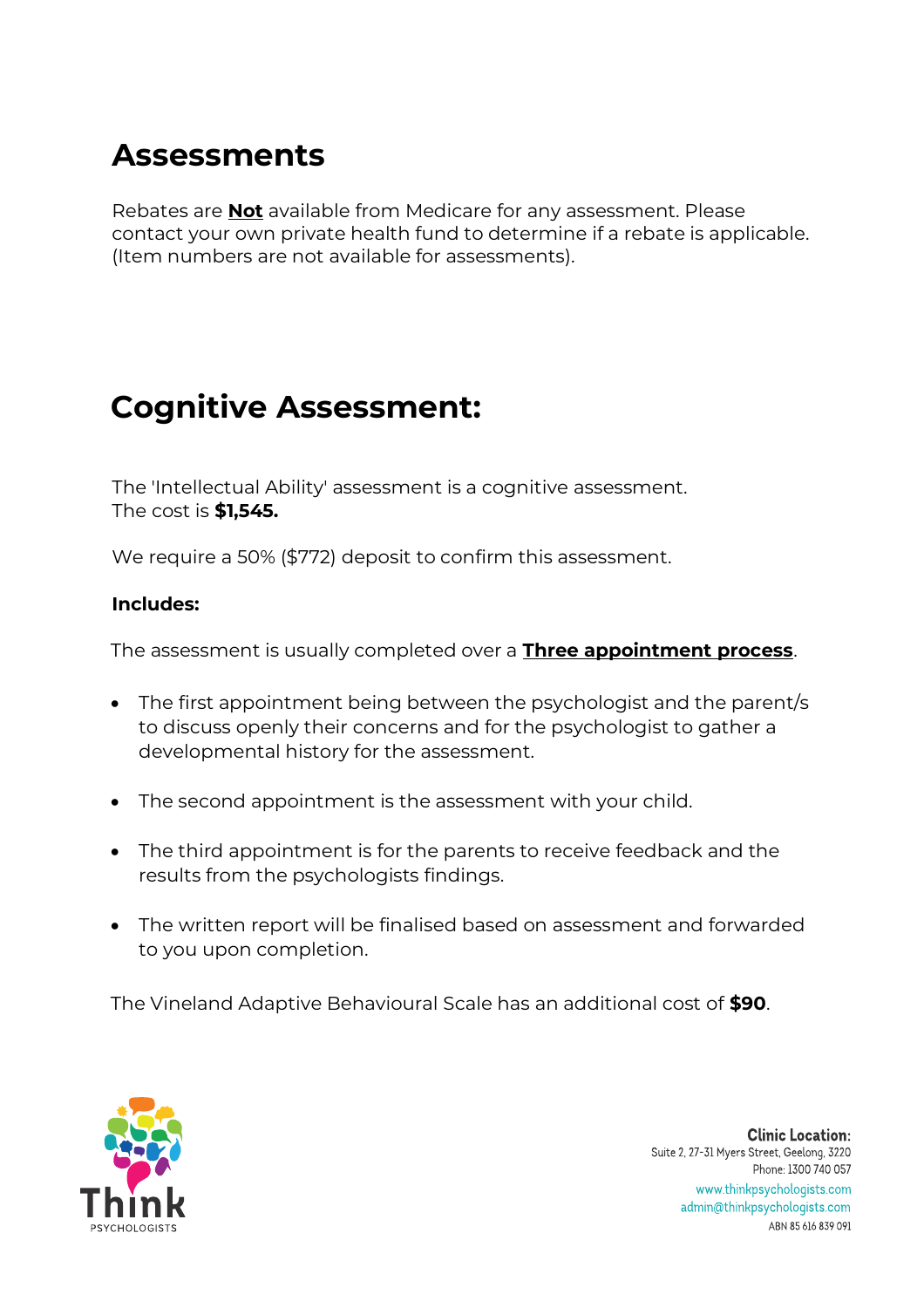## **Assessments**

Rebates are **Not** available from Medicare for any assessment. Please contact your own private health fund to determine if a rebate is applicable. (Item numbers are not available for assessments).

## **Cognitive Assessment:**

The 'Intellectual Ability' assessment is a cognitive assessment. The cost is **\$1,545.** 

We require a 50% (\$772) deposit to confirm this assessment.

### **Includes:**

The assessment is usually completed over a **Three appointment process**.

- The first appointment being between the psychologist and the parent/s to discuss openly their concerns and for the psychologist to gather a developmental history for the assessment.
- The second appointment is the assessment with your child.
- The third appointment is for the parents to receive feedback and the results from the psychologists findings.
- The written report will be finalised based on assessment and forwarded to you upon completion.

The Vineland Adaptive Behavioural Scale has an additional cost of **\$90**.

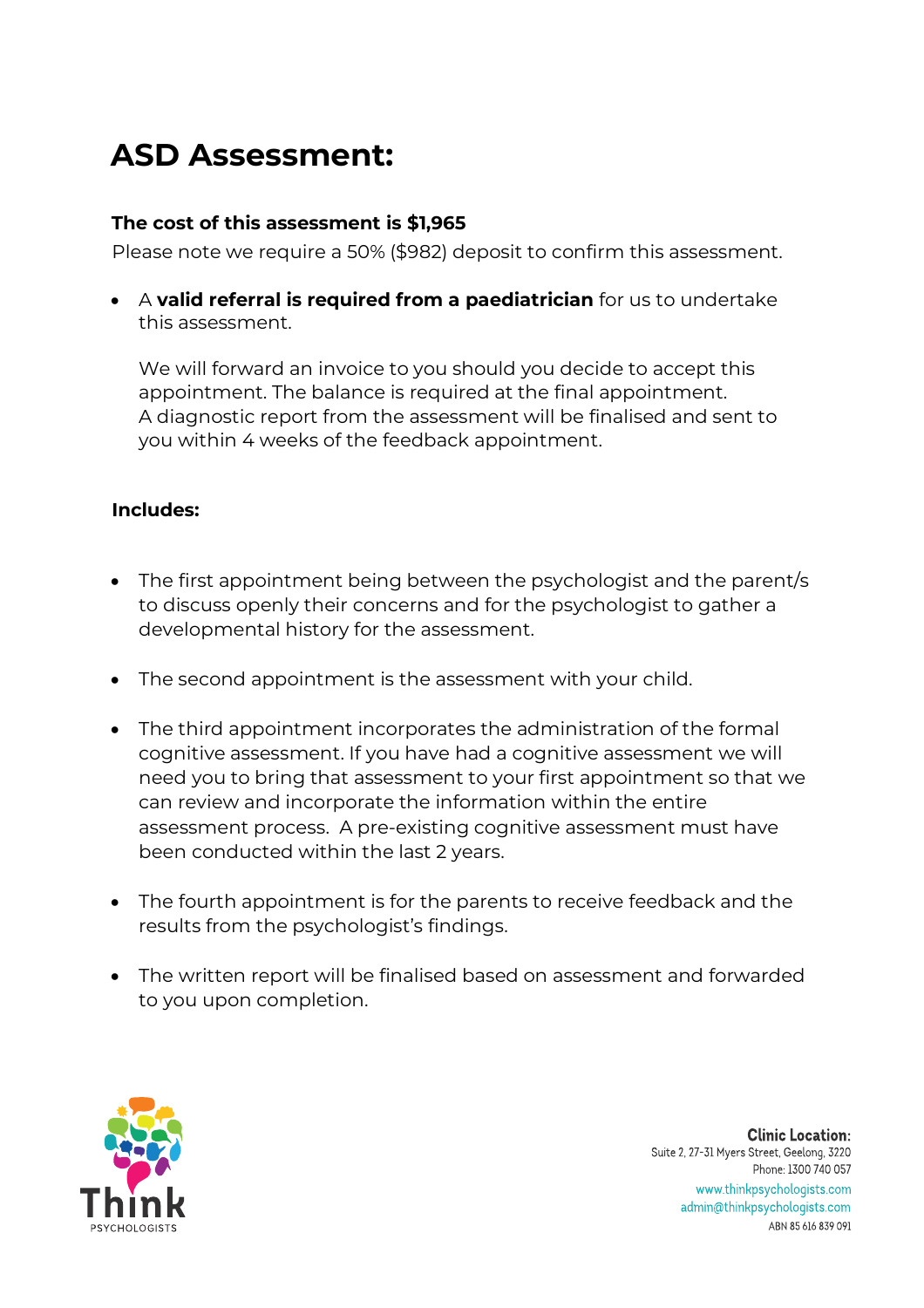# **ASD Assessment:**

### **The cost of this assessment is \$1,965**

Please note we require a 50% (\$982) deposit to confirm this assessment.

• A **valid referral is required from a paediatrician** for us to undertake this assessment.

We will forward an invoice to you should you decide to accept this appointment. The balance is required at the final appointment. A diagnostic report from the assessment will be finalised and sent to you within 4 weeks of the feedback appointment.

### **Includes:**

- The first appointment being between the psychologist and the parent/s to discuss openly their concerns and for the psychologist to gather a developmental history for the assessment.
- The second appointment is the assessment with your child.
- The third appointment incorporates the administration of the formal cognitive assessment. If you have had a cognitive assessment we will need you to bring that assessment to your first appointment so that we can review and incorporate the information within the entire assessment process. A pre-existing cognitive assessment must have been conducted within the last 2 years.
- The fourth appointment is for the parents to receive feedback and the results from the psychologist's findings.
- The written report will be finalised based on assessment and forwarded to you upon completion.

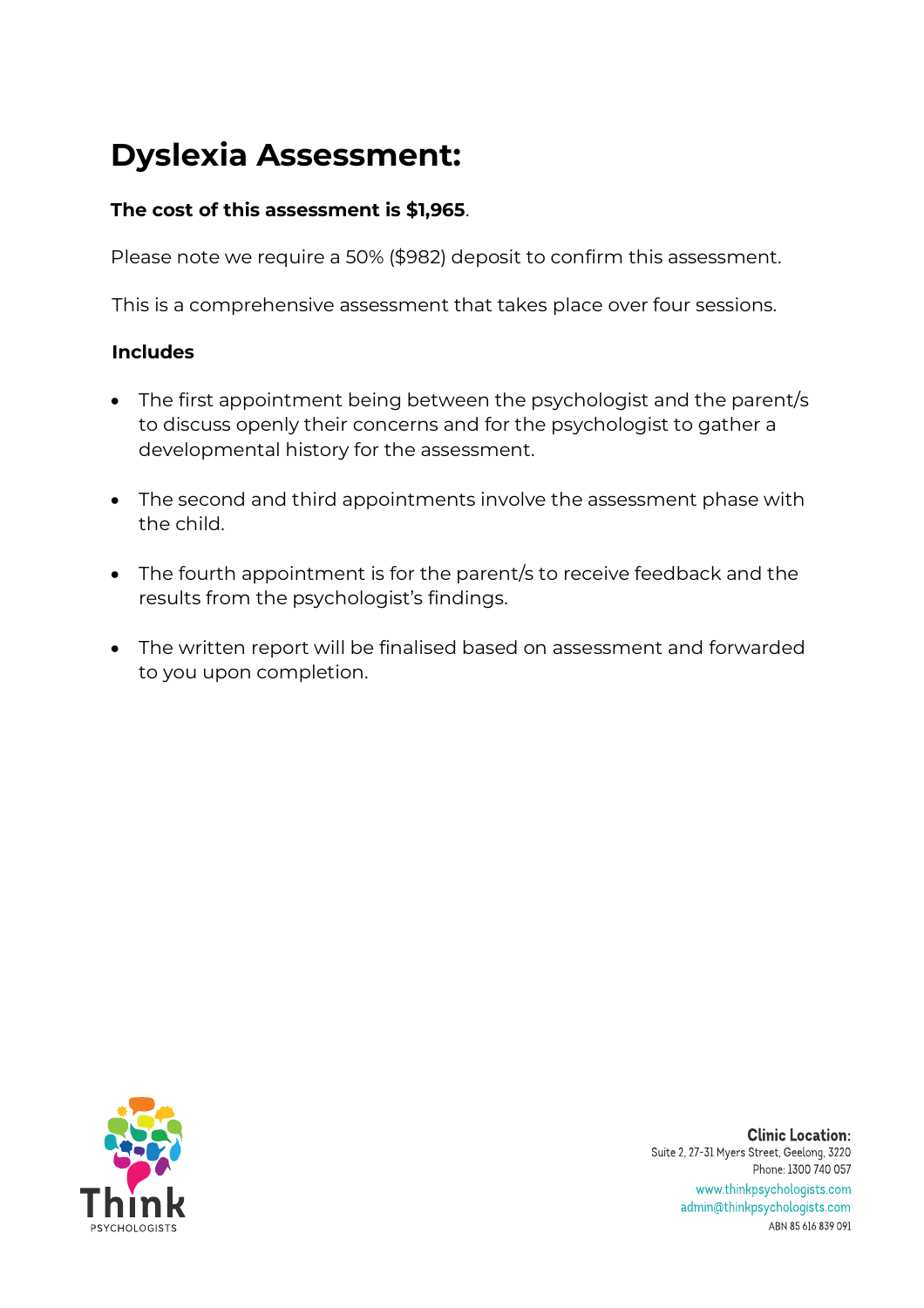# **Dyslexia Assessment:**

### **The cost of this assessment is \$1,965**.

Please note we require a 50% (\$982) deposit to confirm this assessment.

This is a comprehensive assessment that takes place over four sessions.

### **Includes**

- The first appointment being between the psychologist and the parent/s to discuss openly their concerns and for the psychologist to gather a developmental history for the assessment.
- The second and third appointments involve the assessment phase with the child.
- The fourth appointment is for the parent/s to receive feedback and the results from the psychologist's findings.
- The written report will be finalised based on assessment and forwarded to you upon completion.

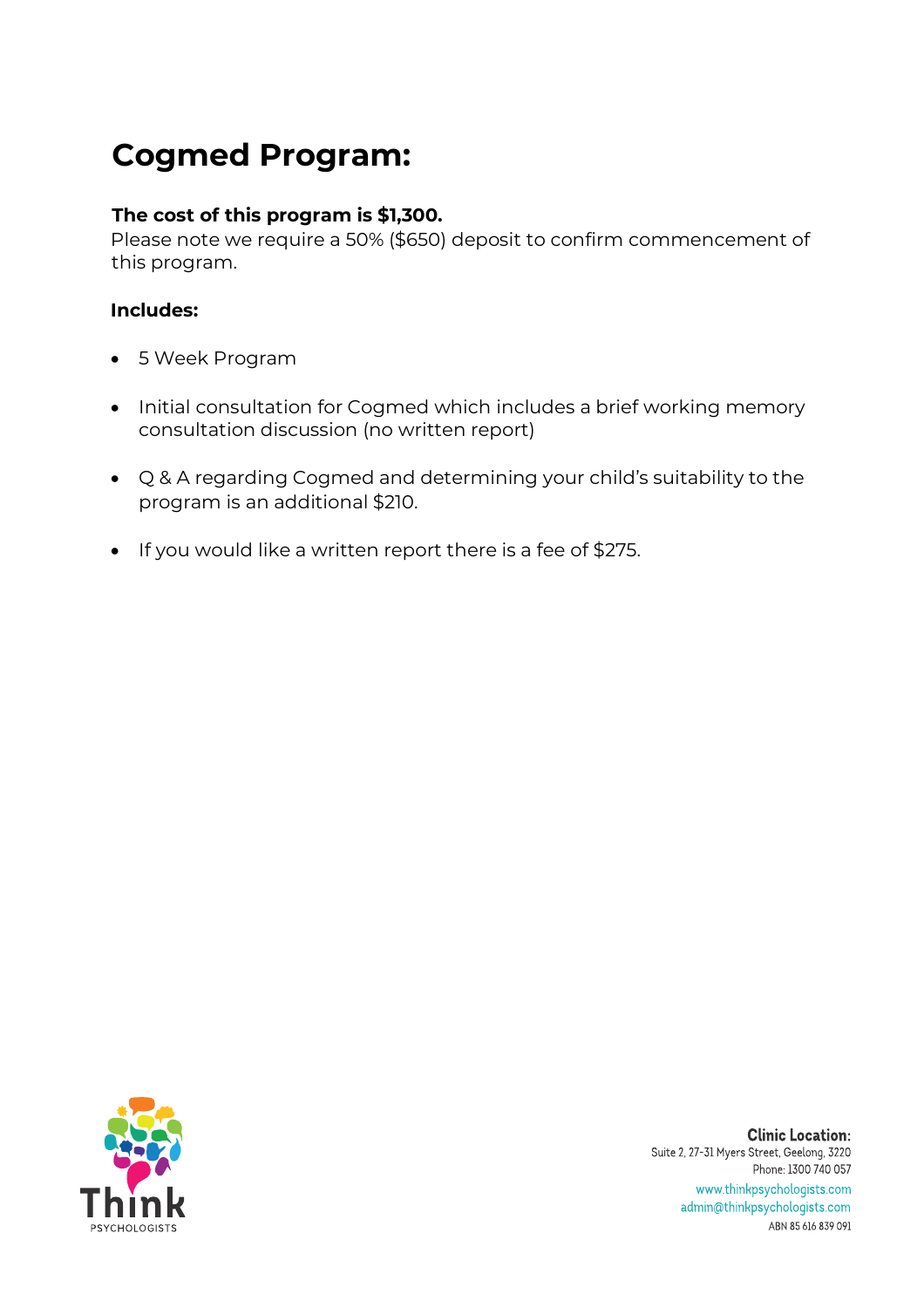# **Cogmed Program:**

### **The cost of this program is \$1,300.**

Please note we require a 50% (\$650) deposit to confirm commencement of this program.

### **Includes:**

- 5 Week Program
- Initial consultation for Cogmed which includes a brief working memory consultation discussion (no written report)
- Q & A regarding Cogmed and determining your child's suitability to the program is an additional \$210.
- If you would like a written report there is a fee of \$275.